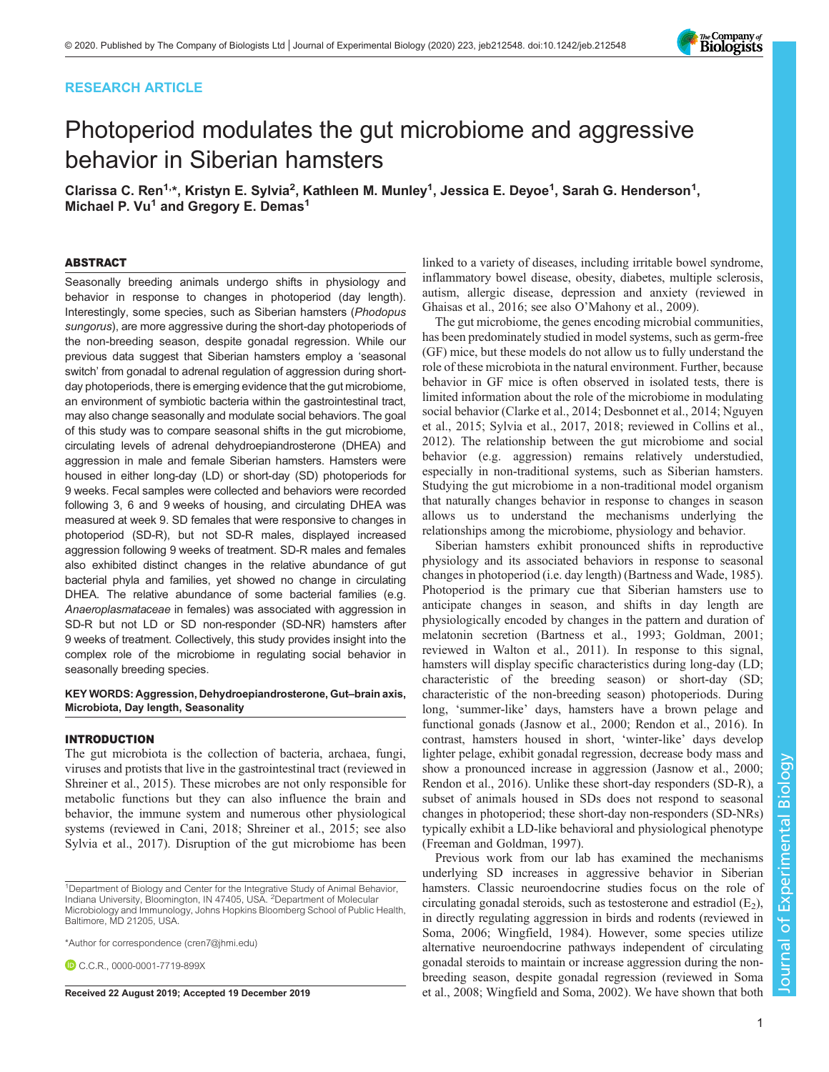# RESEARCH ARTICLE



# Photoperiod modulates the gut microbiome and aggressive behavior in Siberian hamsters

Clarissa C. Ren<sup>1,</sup>\*, Kristyn E. Sylvia<sup>2</sup>, Kathleen M. Munley<sup>1</sup>, Jessica E. Deyoe<sup>1</sup>, Sarah G. Henderson<sup>1</sup>, Michael P. Vu<sup>1</sup> and Gregory E. Demas<sup>1</sup>

#### ABSTRACT

Seasonally breeding animals undergo shifts in physiology and behavior in response to changes in photoperiod (day length). Interestingly, some species, such as Siberian hamsters (Phodopus sungorus), are more aggressive during the short-day photoperiods of the non-breeding season, despite gonadal regression. While our previous data suggest that Siberian hamsters employ a 'seasonal switch' from gonadal to adrenal regulation of aggression during shortday photoperiods, there is emerging evidence that the gut microbiome, an environment of symbiotic bacteria within the gastrointestinal tract, may also change seasonally and modulate social behaviors. The goal of this study was to compare seasonal shifts in the gut microbiome, circulating levels of adrenal dehydroepiandrosterone (DHEA) and aggression in male and female Siberian hamsters. Hamsters were housed in either long-day (LD) or short-day (SD) photoperiods for 9 weeks. Fecal samples were collected and behaviors were recorded following 3, 6 and 9 weeks of housing, and circulating DHEA was measured at week 9. SD females that were responsive to changes in photoperiod (SD-R), but not SD-R males, displayed increased aggression following 9 weeks of treatment. SD-R males and females also exhibited distinct changes in the relative abundance of gut bacterial phyla and families, yet showed no change in circulating DHEA. The relative abundance of some bacterial families (e.g. Anaeroplasmataceae in females) was associated with aggression in SD-R but not LD or SD non-responder (SD-NR) hamsters after 9 weeks of treatment. Collectively, this study provides insight into the complex role of the microbiome in regulating social behavior in seasonally breeding species.

KEY WORDS: Aggression, Dehydroepiandrosterone, Gut–brain axis, Microbiota, Day length, Seasonality

## INTRODUCTION

The gut microbiota is the collection of bacteria, archaea, fungi, viruses and protists that live in the gastrointestinal tract (reviewed in [Shreiner et al., 2015\)](#page-11-0). These microbes are not only responsible for metabolic functions but they can also influence the brain and behavior, the immune system and numerous other physiological systems (reviewed in [Cani, 2018](#page-10-0); [Shreiner et al., 2015;](#page-11-0) see also [Sylvia et al., 2017\)](#page-11-0). Disruption of the gut microbiome has been

\*Author for correspondence [\(cren7@jhmi.edu](mailto:cren7@jhmi.edu))

C.C.R., [0000-0001-7719-899X](http://orcid.org/0000-0001-7719-899X)

linked to a variety of diseases, including irritable bowel syndrome, inflammatory bowel disease, obesity, diabetes, multiple sclerosis, autism, allergic disease, depression and anxiety (reviewed in [Ghaisas et al., 2016](#page-10-0); see also O'[Mahony et al., 2009](#page-11-0)).

The gut microbiome, the genes encoding microbial communities, has been predominately studied in model systems, such as germ-free (GF) mice, but these models do not allow us to fully understand the role of these microbiota in the natural environment. Further, because behavior in GF mice is often observed in isolated tests, there is limited information about the role of the microbiome in modulating social behavior ([Clarke et al., 2014; Desbonnet et al., 2014;](#page-10-0) [Nguyen](#page-11-0) [et al., 2015; Sylvia et al., 2017](#page-11-0), [2018](#page-11-0); reviewed in [Collins et al.,](#page-10-0) [2012\)](#page-10-0). The relationship between the gut microbiome and social behavior (e.g. aggression) remains relatively understudied, especially in non-traditional systems, such as Siberian hamsters. Studying the gut microbiome in a non-traditional model organism that naturally changes behavior in response to changes in season allows us to understand the mechanisms underlying the relationships among the microbiome, physiology and behavior.

Siberian hamsters exhibit pronounced shifts in reproductive physiology and its associated behaviors in response to seasonal changes in photoperiod (i.e. day length) [\(Bartness and Wade, 1985\)](#page-10-0). Photoperiod is the primary cue that Siberian hamsters use to anticipate changes in season, and shifts in day length are physiologically encoded by changes in the pattern and duration of melatonin secretion [\(Bartness et al., 1993; Goldman, 2001](#page-10-0); reviewed in [Walton et al., 2011\)](#page-11-0). In response to this signal, hamsters will display specific characteristics during long-day (LD; characteristic of the breeding season) or short-day (SD; characteristic of the non-breeding season) photoperiods. During long, 'summer-like' days, hamsters have a brown pelage and functional gonads [\(Jasnow et al., 2000](#page-10-0); [Rendon et al., 2016](#page-11-0)). In contrast, hamsters housed in short, 'winter-like' days develop lighter pelage, exhibit gonadal regression, decrease body mass and show a pronounced increase in aggression ([Jasnow et al., 2000](#page-10-0); [Rendon et al., 2016\)](#page-11-0). Unlike these short-day responders (SD-R), a subset of animals housed in SDs does not respond to seasonal changes in photoperiod; these short-day non-responders (SD-NRs) typically exhibit a LD-like behavioral and physiological phenotype [\(Freeman and Goldman, 1997](#page-10-0)).

Previous work from our lab has examined the mechanisms underlying SD increases in aggressive behavior in Siberian hamsters. Classic neuroendocrine studies focus on the role of circulating gonadal steroids, such as testosterone and estradiol  $(E_2)$ , in directly regulating aggression in birds and rodents (reviewed in [Soma, 2006; Wingfield, 1984\)](#page-11-0). However, some species utilize alternative neuroendocrine pathways independent of circulating gonadal steroids to maintain or increase aggression during the nonbreeding season, despite gonadal regression (reviewed in [Soma](#page-11-0) Received 22 August 2019; Accepted 19 December 2019 [et al., 2008](#page-11-0); [Wingfield and Soma, 2002\)](#page-11-0). We have shown that both

<sup>&</sup>lt;sup>1</sup>Department of Biology and Center for the Integrative Study of Animal Behavior, Indiana University, Bloomington, IN 47405, USA. <sup>2</sup>Department of Molecular Microbiology and Immunology, Johns Hopkins Bloomberg School of Public Health, Baltimore, MD 21205, USA.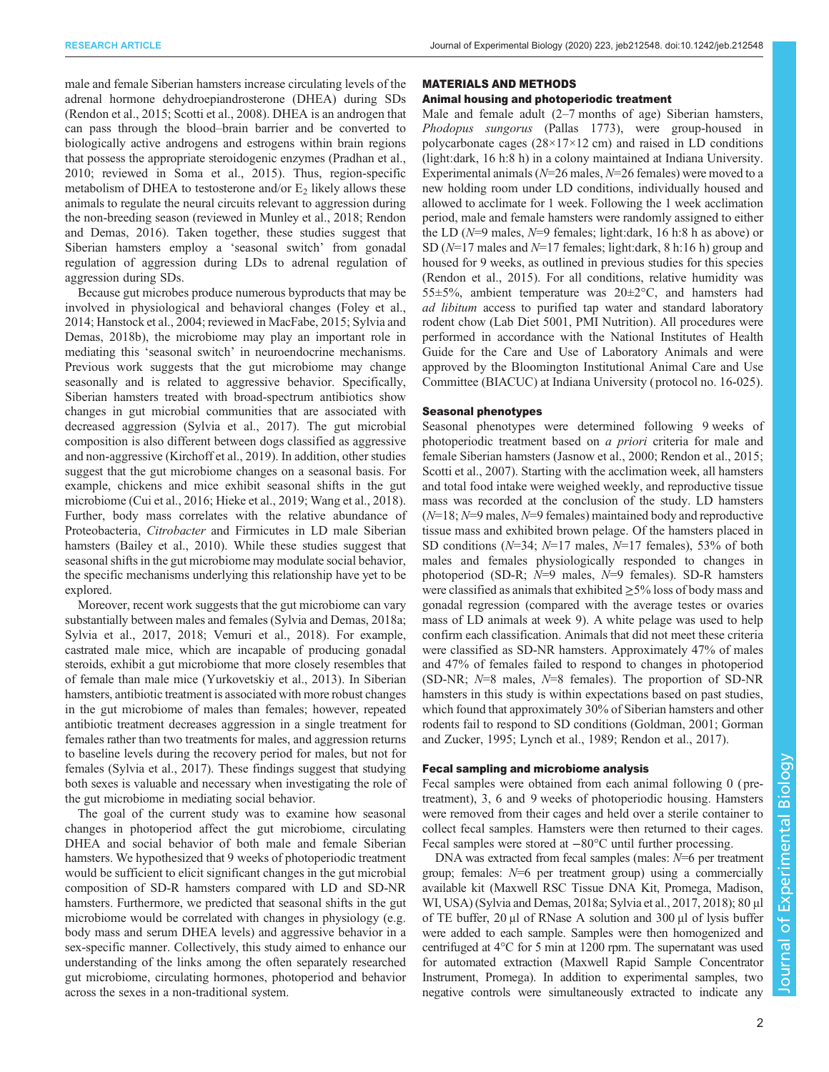male and female Siberian hamsters increase circulating levels of the adrenal hormone dehydroepiandrosterone (DHEA) during SDs [\(Rendon et al., 2015; Scotti et al., 2008\)](#page-11-0). DHEA is an androgen that can pass through the blood–brain barrier and be converted to biologically active androgens and estrogens within brain regions that possess the appropriate steroidogenic enzymes ([Pradhan et al.,](#page-11-0) [2010](#page-11-0); reviewed in [Soma et al., 2015](#page-11-0)). Thus, region-specific metabolism of DHEA to testosterone and/or  $E_2$  likely allows these animals to regulate the neural circuits relevant to aggression during the non-breeding season (reviewed in [Munley et al., 2018; Rendon](#page-11-0) [and Demas, 2016\)](#page-11-0). Taken together, these studies suggest that Siberian hamsters employ a 'seasonal switch' from gonadal regulation of aggression during LDs to adrenal regulation of aggression during SDs.

Because gut microbes produce numerous byproducts that may be involved in physiological and behavioral changes ([Foley et al.,](#page-10-0) [2014](#page-10-0); [Hanstock et al., 2004](#page-10-0); reviewed in [MacFabe, 2015](#page-11-0); [Sylvia and](#page-11-0) [Demas, 2018b\)](#page-11-0), the microbiome may play an important role in mediating this 'seasonal switch' in neuroendocrine mechanisms. Previous work suggests that the gut microbiome may change seasonally and is related to aggressive behavior. Specifically, Siberian hamsters treated with broad-spectrum antibiotics show changes in gut microbial communities that are associated with decreased aggression ([Sylvia et al., 2017](#page-11-0)). The gut microbial composition is also different between dogs classified as aggressive and non-aggressive [\(Kirchoff et al., 2019](#page-11-0)). In addition, other studies suggest that the gut microbiome changes on a seasonal basis. For example, chickens and mice exhibit seasonal shifts in the gut microbiome [\(Cui et al., 2016; Hieke et al., 2019;](#page-10-0) [Wang et al., 2018\)](#page-11-0). Further, body mass correlates with the relative abundance of Proteobacteria, Citrobacter and Firmicutes in LD male Siberian hamsters ([Bailey et al., 2010\)](#page-10-0). While these studies suggest that seasonal shifts in the gut microbiome may modulate social behavior, the specific mechanisms underlying this relationship have yet to be explored.

Moreover, recent work suggests that the gut microbiome can vary substantially between males and females ([Sylvia and Demas, 2018a](#page-11-0); [Sylvia et al., 2017, 2018](#page-11-0); [Vemuri et al., 2018](#page-11-0)). For example, castrated male mice, which are incapable of producing gonadal steroids, exhibit a gut microbiome that more closely resembles that of female than male mice ([Yurkovetskiy et al., 2013](#page-11-0)). In Siberian hamsters, antibiotic treatment is associated with more robust changes in the gut microbiome of males than females; however, repeated antibiotic treatment decreases aggression in a single treatment for females rather than two treatments for males, and aggression returns to baseline levels during the recovery period for males, but not for females ([Sylvia et al., 2017\)](#page-11-0). These findings suggest that studying both sexes is valuable and necessary when investigating the role of the gut microbiome in mediating social behavior.

The goal of the current study was to examine how seasonal changes in photoperiod affect the gut microbiome, circulating DHEA and social behavior of both male and female Siberian hamsters. We hypothesized that 9 weeks of photoperiodic treatment would be sufficient to elicit significant changes in the gut microbial composition of SD-R hamsters compared with LD and SD-NR hamsters. Furthermore, we predicted that seasonal shifts in the gut microbiome would be correlated with changes in physiology (e.g. body mass and serum DHEA levels) and aggressive behavior in a sex-specific manner. Collectively, this study aimed to enhance our understanding of the links among the often separately researched gut microbiome, circulating hormones, photoperiod and behavior across the sexes in a non-traditional system.

#### MATERIALS AND METHODS

# Animal housing and photoperiodic treatment

Male and female adult (2–7 months of age) Siberian hamsters, Phodopus sungorus (Pallas 1773), were group-housed in polycarbonate cages (28×17×12 cm) and raised in LD conditions (light:dark, 16 h:8 h) in a colony maintained at Indiana University. Experimental animals ( $N=26$  males,  $N=26$  females) were moved to a new holding room under LD conditions, individually housed and allowed to acclimate for 1 week. Following the 1 week acclimation period, male and female hamsters were randomly assigned to either the LD ( $N=9$  males,  $N=9$  females; light:dark, 16 h:8 h as above) or SD (N=17 males and N=17 females; light:dark, 8 h:16 h) group and housed for 9 weeks, as outlined in previous studies for this species [\(Rendon et al., 2015](#page-11-0)). For all conditions, relative humidity was 55 $\pm$ 5%, ambient temperature was 20 $\pm$ 2°C, and hamsters had ad libitum access to purified tap water and standard laboratory rodent chow (Lab Diet 5001, PMI Nutrition). All procedures were performed in accordance with the National Institutes of Health Guide for the Care and Use of Laboratory Animals and were approved by the Bloomington Institutional Animal Care and Use Committee (BIACUC) at Indiana University ( protocol no. 16-025).

### Seasonal phenotypes

Seasonal phenotypes were determined following 9 weeks of photoperiodic treatment based on a priori criteria for male and female Siberian hamsters ([Jasnow et al., 2000](#page-10-0); [Rendon et al., 2015](#page-11-0); [Scotti et al., 2007\)](#page-11-0). Starting with the acclimation week, all hamsters and total food intake were weighed weekly, and reproductive tissue mass was recorded at the conclusion of the study. LD hamsters  $(N=18; N=9 \text{ males}, N=9 \text{ females})$  maintained body and reproductive tissue mass and exhibited brown pelage. Of the hamsters placed in SD conditions ( $N=34$ ;  $N=17$  males,  $N=17$  females), 53% of both males and females physiologically responded to changes in photoperiod (SD-R; N=9 males, N=9 females). SD-R hamsters were classified as animals that exhibited ≥5% loss of body mass and gonadal regression (compared with the average testes or ovaries mass of LD animals at week 9). A white pelage was used to help confirm each classification. Animals that did not meet these criteria were classified as SD-NR hamsters. Approximately 47% of males and 47% of females failed to respond to changes in photoperiod (SD-NR;  $N=8$  males,  $N=8$  females). The proportion of SD-NR hamsters in this study is within expectations based on past studies, which found that approximately 30% of Siberian hamsters and other rodents fail to respond to SD conditions ([Goldman, 2001; Gorman](#page-10-0) [and Zucker, 1995;](#page-10-0) [Lynch et al., 1989; Rendon et al., 2017](#page-11-0)).

#### Fecal sampling and microbiome analysis

Fecal samples were obtained from each animal following 0 ( pretreatment), 3, 6 and 9 weeks of photoperiodic housing. Hamsters were removed from their cages and held over a sterile container to collect fecal samples. Hamsters were then returned to their cages. Fecal samples were stored at −80°C until further processing.

DNA was extracted from fecal samples (males:  $N=6$  per treatment group; females:  $N=6$  per treatment group) using a commercially available kit (Maxwell RSC Tissue DNA Kit, Promega, Madison, WI, USA) [\(Sylvia and Demas, 2018a](#page-11-0); [Sylvia et al., 2017](#page-11-0), [2018\)](#page-11-0); 80 μl of TE buffer, 20 μl of RNase A solution and 300 μl of lysis buffer were added to each sample. Samples were then homogenized and centrifuged at 4°C for 5 min at 1200 rpm. The supernatant was used for automated extraction (Maxwell Rapid Sample Concentrator Instrument, Promega). In addition to experimental samples, two negative controls were simultaneously extracted to indicate any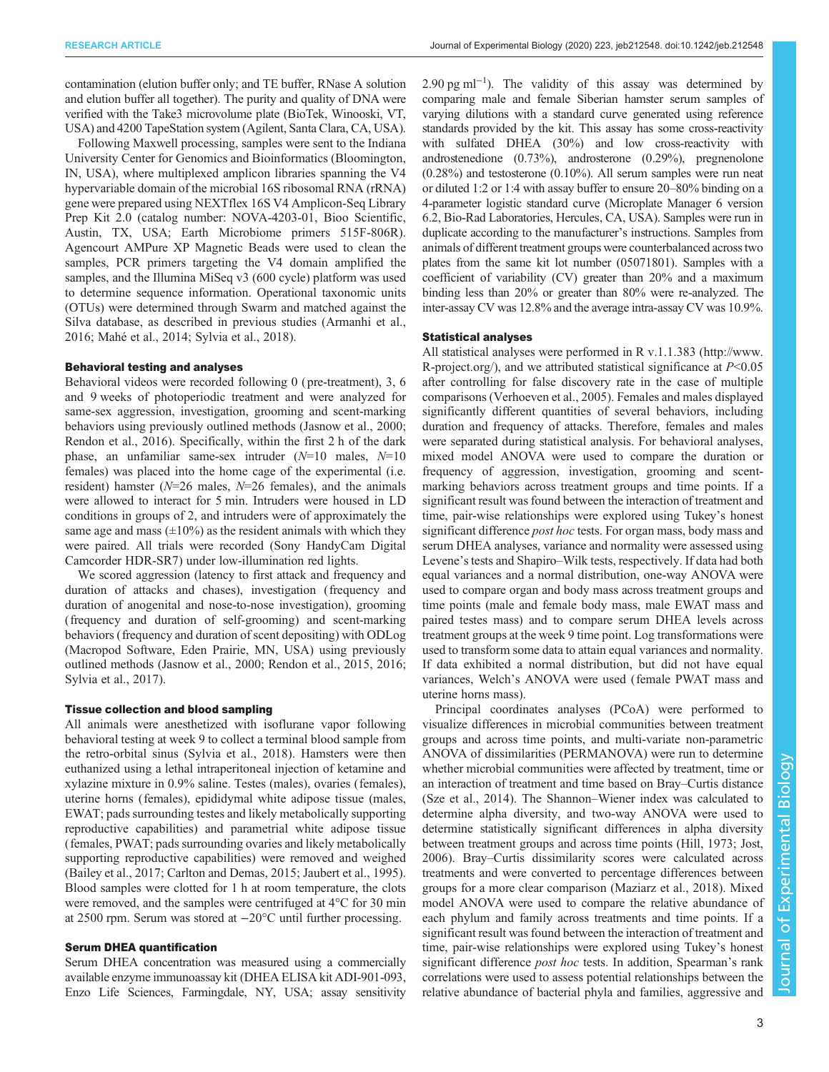contamination (elution buffer only; and TE buffer, RNase A solution and elution buffer all together). The purity and quality of DNA were verified with the Take3 microvolume plate (BioTek, Winooski, VT, USA) and 4200 TapeStation system (Agilent, Santa Clara, CA, USA).

Following Maxwell processing, samples were sent to the Indiana University Center for Genomics and Bioinformatics (Bloomington, IN, USA), where multiplexed amplicon libraries spanning the V4 hypervariable domain of the microbial 16S ribosomal RNA (rRNA) gene were prepared using NEXTflex 16S V4 Amplicon-Seq Library Prep Kit 2.0 (catalog number: NOVA-4203-01, Bioo Scientific, Austin, TX, USA; Earth Microbiome primers 515F-806R). Agencourt AMPure XP Magnetic Beads were used to clean the samples, PCR primers targeting the V4 domain amplified the samples, and the Illumina MiSeq v3 (600 cycle) platform was used to determine sequence information. Operational taxonomic units (OTUs) were determined through Swarm and matched against the Silva database, as described in previous studies ([Armanhi et al.,](#page-10-0) [2016](#page-10-0); [Mahé et al., 2014; Sylvia et al., 2018\)](#page-11-0).

## Behavioral testing and analyses

Behavioral videos were recorded following 0 ( pre-treatment), 3, 6 and 9 weeks of photoperiodic treatment and were analyzed for same-sex aggression, investigation, grooming and scent-marking behaviors using previously outlined methods [\(Jasnow et al., 2000](#page-10-0); [Rendon et al., 2016\)](#page-11-0). Specifically, within the first 2 h of the dark phase, an unfamiliar same-sex intruder  $(N=10 \text{ males}, N=10$ females) was placed into the home cage of the experimental (i.e. resident) hamster ( $N=26$  males,  $N=26$  females), and the animals were allowed to interact for 5 min. Intruders were housed in LD conditions in groups of 2, and intruders were of approximately the same age and mass  $(\pm 10\%)$  as the resident animals with which they were paired. All trials were recorded (Sony HandyCam Digital Camcorder HDR-SR7) under low-illumination red lights.

We scored aggression (latency to first attack and frequency and duration of attacks and chases), investigation (frequency and duration of anogenital and nose-to-nose investigation), grooming (frequency and duration of self-grooming) and scent-marking behaviors (frequency and duration of scent depositing) with ODLog (Macropod Software, Eden Prairie, MN, USA) using previously outlined methods ([Jasnow et al., 2000;](#page-10-0) [Rendon et al., 2015](#page-11-0), [2016](#page-11-0); [Sylvia et al., 2017](#page-11-0)).

#### Tissue collection and blood sampling

All animals were anesthetized with isoflurane vapor following behavioral testing at week 9 to collect a terminal blood sample from the retro-orbital sinus [\(Sylvia et al., 2018\)](#page-11-0). Hamsters were then euthanized using a lethal intraperitoneal injection of ketamine and xylazine mixture in 0.9% saline. Testes (males), ovaries (females), uterine horns (females), epididymal white adipose tissue (males, EWAT; pads surrounding testes and likely metabolically supporting reproductive capabilities) and parametrial white adipose tissue (females, PWAT; pads surrounding ovaries and likely metabolically supporting reproductive capabilities) were removed and weighed [\(Bailey et al., 2017; Carlton and Demas, 2015](#page-10-0); [Jaubert et al., 1995\)](#page-11-0). Blood samples were clotted for 1 h at room temperature, the clots were removed, and the samples were centrifuged at 4°C for 30 min at 2500 rpm. Serum was stored at −20°C until further processing.

## Serum DHEA quantification

Serum DHEA concentration was measured using a commercially available enzyme immunoassay kit (DHEA ELISA kit ADI-901-093, Enzo Life Sciences, Farmingdale, NY, USA; assay sensitivity

2.90 pg ml<sup>-1</sup>). The validity of this assay was determined by comparing male and female Siberian hamster serum samples of varying dilutions with a standard curve generated using reference standards provided by the kit. This assay has some cross-reactivity with sulfated DHEA (30%) and low cross-reactivity with androstenedione (0.73%), androsterone (0.29%), pregnenolone (0.28%) and testosterone (0.10%). All serum samples were run neat or diluted 1:2 or 1:4 with assay buffer to ensure 20–80% binding on a 4-parameter logistic standard curve (Microplate Manager 6 version 6.2, Bio-Rad Laboratories, Hercules, CA, USA). Samples were run in duplicate according to the manufacturer's instructions. Samples from animals of different treatment groups were counterbalanced across two plates from the same kit lot number (05071801). Samples with a coefficient of variability (CV) greater than 20% and a maximum binding less than 20% or greater than 80% were re-analyzed. The inter-assay CV was 12.8% and the average intra-assay CV was 10.9%.

# Statistical analyses

All statistical analyses were performed in R v.1.1.383 ([http://www.](http://www.R-project.org/) [R-project.org/\)](http://www.R-project.org/), and we attributed statistical significance at  $P<0.05$ after controlling for false discovery rate in the case of multiple comparisons ([Verhoeven et al., 2005\)](#page-11-0). Females and males displayed significantly different quantities of several behaviors, including duration and frequency of attacks. Therefore, females and males were separated during statistical analysis. For behavioral analyses, mixed model ANOVA were used to compare the duration or frequency of aggression, investigation, grooming and scentmarking behaviors across treatment groups and time points. If a significant result was found between the interaction of treatment and time, pair-wise relationships were explored using Tukey's honest significant difference *post hoc* tests. For organ mass, body mass and serum DHEA analyses, variance and normality were assessed using Levene's tests and Shapiro–Wilk tests, respectively. If data had both equal variances and a normal distribution, one-way ANOVA were used to compare organ and body mass across treatment groups and time points (male and female body mass, male EWAT mass and paired testes mass) and to compare serum DHEA levels across treatment groups at the week 9 time point. Log transformations were used to transform some data to attain equal variances and normality. If data exhibited a normal distribution, but did not have equal variances, Welch's ANOVA were used (female PWAT mass and uterine horns mass).

Principal coordinates analyses (PCoA) were performed to visualize differences in microbial communities between treatment groups and across time points, and multi-variate non-parametric ANOVA of dissimilarities (PERMANOVA) were run to determine whether microbial communities were affected by treatment, time or an interaction of treatment and time based on Bray–Curtis distance [\(Sze et al., 2014\)](#page-11-0). The Shannon–Wiener index was calculated to determine alpha diversity, and two-way ANOVA were used to determine statistically significant differences in alpha diversity between treatment groups and across time points ([Hill, 1973;](#page-10-0) [Jost,](#page-11-0) [2006\)](#page-11-0). Bray–Curtis dissimilarity scores were calculated across treatments and were converted to percentage differences between groups for a more clear comparison [\(Maziarz et al., 2018\)](#page-11-0). Mixed model ANOVA were used to compare the relative abundance of each phylum and family across treatments and time points. If a significant result was found between the interaction of treatment and time, pair-wise relationships were explored using Tukey's honest significant difference *post hoc* tests. In addition, Spearman's rank correlations were used to assess potential relationships between the relative abundance of bacterial phyla and families, aggressive and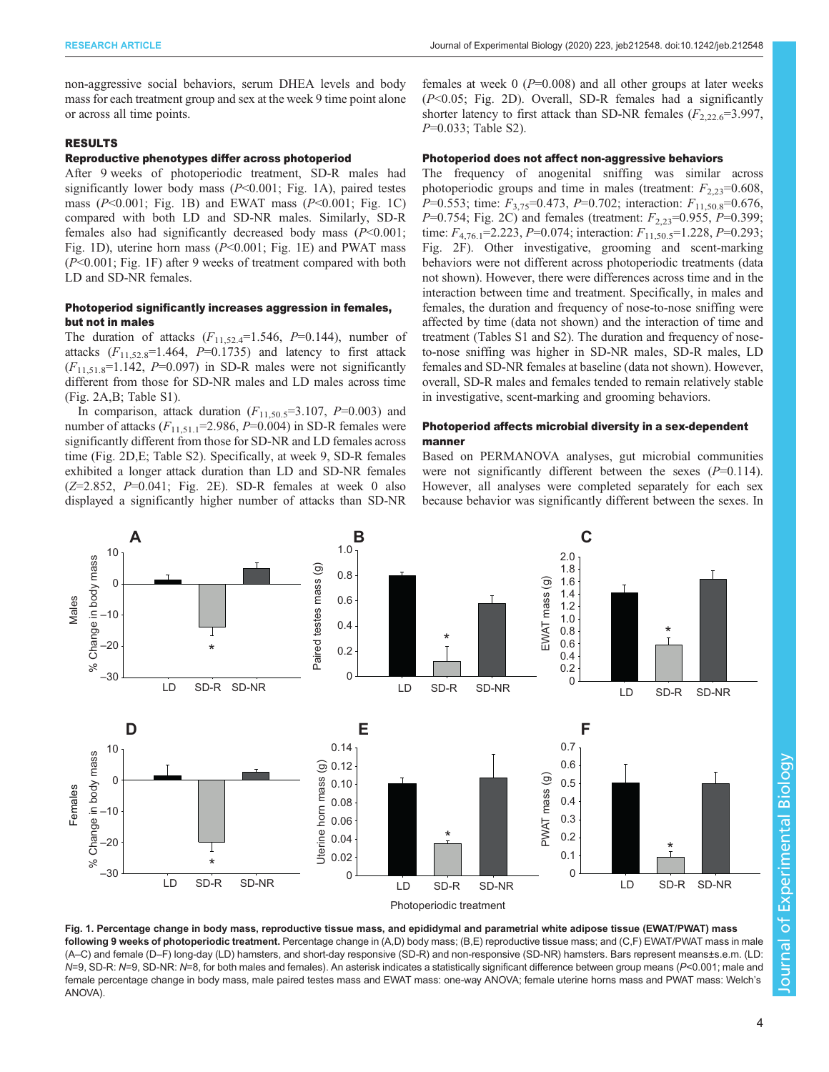non-aggressive social behaviors, serum DHEA levels and body mass for each treatment group and sex at the week 9 time point alone or across all time points.

# RESULTS

# Reproductive phenotypes differ across photoperiod

After 9 weeks of photoperiodic treatment, SD-R males had significantly lower body mass  $(P<0.001$ ; Fig. 1A), paired testes mass ( $P<0.001$ ; Fig. 1B) and EWAT mass ( $P<0.001$ ; Fig. 1C) compared with both LD and SD-NR males. Similarly, SD-R females also had significantly decreased body mass  $(P<0.001)$ ; Fig. 1D), uterine horn mass ( $P<0.001$ ; Fig. 1E) and PWAT mass (P<0.001; Fig. 1F) after 9 weeks of treatment compared with both LD and SD-NR females.

# Photoperiod significantly increases aggression in females, but not in males

The duration of attacks  $(F_{11,52,4}=1.546, P=0.144)$ , number of attacks  $(F_{11,52,8}=1.464, P=0.1735)$  and latency to first attack  $(F_{11,51,8}=1.142, P=0.097)$  in SD-R males were not significantly different from those for SD-NR males and LD males across time [\(Fig. 2](#page-4-0)A,B; [Table S1](http://jeb.biologists.org/lookup/doi/10.1242/jeb.212548.supplemental)).

In comparison, attack duration  $(F_{11,50.5} = 3.107, P = 0.003)$  and number of attacks  $(F_{11,51,1}=2.986, P=0.004)$  in SD-R females were significantly different from those for SD-NR and LD females across time [\(Fig. 2D](#page-4-0),E; [Table S2](http://jeb.biologists.org/lookup/doi/10.1242/jeb.212548.supplemental)). Specifically, at week 9, SD-R females exhibited a longer attack duration than LD and SD-NR females  $(Z=2.852, P=0.041; Fig. 2E)$  $(Z=2.852, P=0.041; Fig. 2E)$  $(Z=2.852, P=0.041; Fig. 2E)$ . SD-R females at week 0 also displayed a significantly higher number of attacks than SD-NR females at week  $0$  ( $P=0.008$ ) and all other groups at later weeks  $(P<0.05$ ; [Fig. 2](#page-4-0)D). Overall, SD-R females had a significantly shorter latency to first attack than SD-NR females  $(F_{2,22.6} = 3.997$ , P=0.033; [Table S2\)](http://jeb.biologists.org/lookup/doi/10.1242/jeb.212548.supplemental).

# Photoperiod does not affect non-aggressive behaviors

The frequency of anogenital sniffing was similar across photoperiodic groups and time in males (treatment:  $F_{2,23}=0.608$ , P=0.553; time:  $F_{3.75}$ =0.473, P=0.702; interaction:  $F_{11.50.8}$ =0.676, P=0.754; [Fig. 2](#page-4-0)C) and females (treatment:  $F_{2,23}=0.955$ , P=0.399; time:  $F_{4,76.1}$ =2.223, P=0.074; interaction:  $F_{11,50.5}$ =1.228, P=0.293; [Fig. 2](#page-4-0)F). Other investigative, grooming and scent-marking behaviors were not different across photoperiodic treatments (data not shown). However, there were differences across time and in the interaction between time and treatment. Specifically, in males and females, the duration and frequency of nose-to-nose sniffing were affected by time (data not shown) and the interaction of time and treatment ([Tables S1](http://jeb.biologists.org/lookup/doi/10.1242/jeb.212548.supplemental) and [S2\)](http://jeb.biologists.org/lookup/doi/10.1242/jeb.212548.supplemental). The duration and frequency of noseto-nose sniffing was higher in SD-NR males, SD-R males, LD females and SD-NR females at baseline (data not shown). However, overall, SD-R males and females tended to remain relatively stable in investigative, scent-marking and grooming behaviors.

# Photoperiod affects microbial diversity in a sex-dependent manner

Based on PERMANOVA analyses, gut microbial communities were not significantly different between the sexes  $(P=0.114)$ . However, all analyses were completed separately for each sex because behavior was significantly different between the sexes. In



Fig. 1. Percentage change in body mass, reproductive tissue mass, and epididymal and parametrial white adipose tissue (EWAT/PWAT) mass following 9 weeks of photoperiodic treatment. Percentage change in (A,D) body mass; (B,E) reproductive tissue mass; and (C,F) EWAT/PWAT mass in male (A–C) and female (D–F) long-day (LD) hamsters, and short-day responsive (SD-R) and non-responsive (SD-NR) hamsters. Bars represent means±s.e.m. (LD: N=9, SD-R: N=9, SD-NR: N=8, for both males and females). An asterisk indicates a statistically significant difference between group means (P<0.001; male and female percentage change in body mass, male paired testes mass and EWAT mass: one-way ANOVA; female uterine horns mass and PWAT mass: Welch's ANOVA).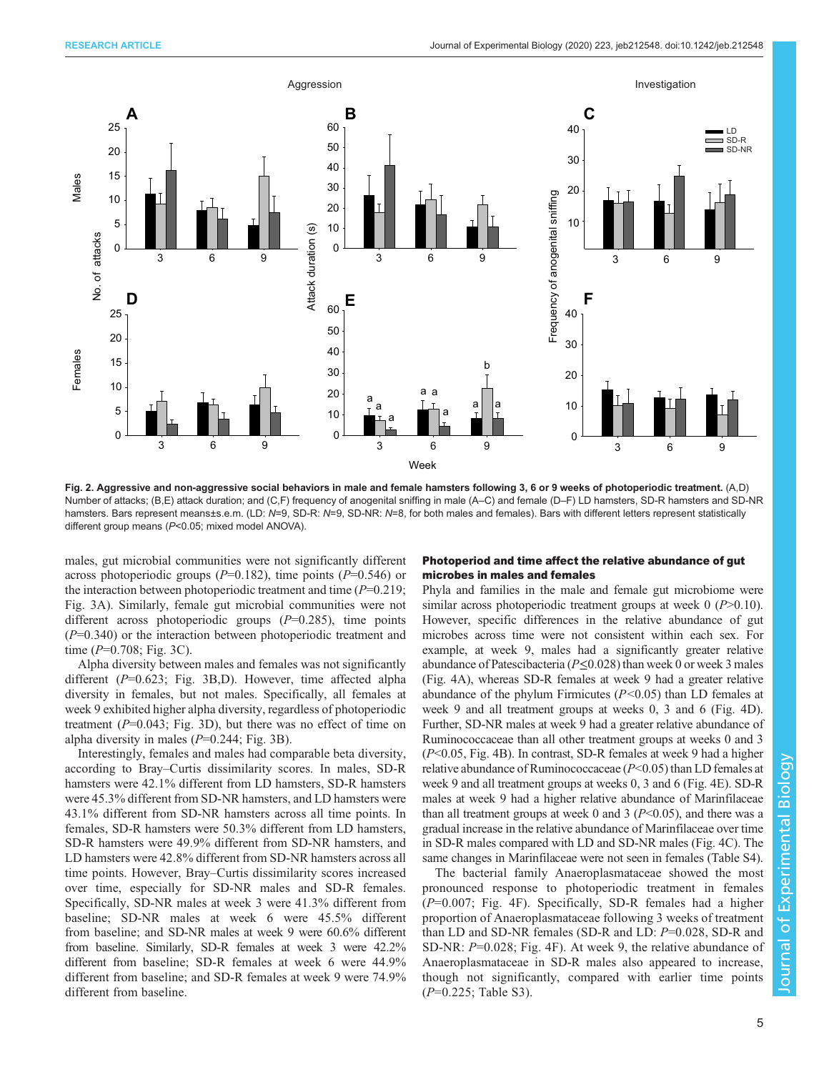<span id="page-4-0"></span>

Fig. 2. Aggressive and non-aggressive social behaviors in male and female hamsters following 3, 6 or 9 weeks of photoperiodic treatment. (A,D) Number of attacks; (B,E) attack duration; and (C,F) frequency of anogenital sniffing in male (A–C) and female (D–F) LD hamsters, SD-R hamsters and SD-NR hamsters. Bars represent means±s.e.m. (LD: N=9, SD-R: N=9, SD-NR: N=8, for both males and females). Bars with different letters represent statistically different group means (P<0.05; mixed model ANOVA).

males, gut microbial communities were not significantly different across photoperiodic groups ( $P=0.182$ ), time points ( $P=0.546$ ) or the interaction between photoperiodic treatment and time  $(P=0.219)$ ; [Fig. 3A](#page-5-0)). Similarly, female gut microbial communities were not different across photoperiodic groups  $(P=0.285)$ , time points  $(P=0.340)$  or the interaction between photoperiodic treatment and time  $(P=0.708; Fig. 3C)$  $(P=0.708; Fig. 3C)$  $(P=0.708; Fig. 3C)$ .

Alpha diversity between males and females was not significantly different (P=0.623; [Fig. 3](#page-5-0)B,D). However, time affected alpha diversity in females, but not males. Specifically, all females at week 9 exhibited higher alpha diversity, regardless of photoperiodic treatment  $(P=0.043; Fig. 3D)$  $(P=0.043; Fig. 3D)$  $(P=0.043; Fig. 3D)$ , but there was no effect of time on alpha diversity in males  $(P=0.244; Fig. 3B)$  $(P=0.244; Fig. 3B)$  $(P=0.244; Fig. 3B)$ .

Interestingly, females and males had comparable beta diversity, according to Bray–Curtis dissimilarity scores. In males, SD-R hamsters were 42.1% different from LD hamsters, SD-R hamsters were 45.3% different from SD-NR hamsters, and LD hamsters were 43.1% different from SD-NR hamsters across all time points. In females, SD-R hamsters were 50.3% different from LD hamsters, SD-R hamsters were 49.9% different from SD-NR hamsters, and LD hamsters were 42.8% different from SD-NR hamsters across all time points. However, Bray–Curtis dissimilarity scores increased over time, especially for SD-NR males and SD-R females. Specifically, SD-NR males at week 3 were 41.3% different from baseline; SD-NR males at week 6 were 45.5% different from baseline; and SD-NR males at week 9 were 60.6% different from baseline. Similarly, SD-R females at week 3 were 42.2% different from baseline; SD-R females at week 6 were 44.9% different from baseline; and SD-R females at week 9 were 74.9% different from baseline.

# Photoperiod and time affect the relative abundance of gut microbes in males and females

Phyla and families in the male and female gut microbiome were similar across photoperiodic treatment groups at week  $0$  ( $P > 0.10$ ). However, specific differences in the relative abundance of gut microbes across time were not consistent within each sex. For example, at week 9, males had a significantly greater relative abundance of Patescibacteria ( $P \le 0.028$ ) than week 0 or week 3 males [\(Fig. 4A](#page-5-0)), whereas SD-R females at week 9 had a greater relative abundance of the phylum Firmicutes  $(P<0.05)$  than LD females at week 9 and all treatment groups at weeks 0, 3 and 6 [\(Fig. 4D](#page-5-0)). Further, SD-NR males at week 9 had a greater relative abundance of Ruminococcaceae than all other treatment groups at weeks 0 and 3 (P<0.05, [Fig. 4B](#page-5-0)). In contrast, SD-R females at week 9 had a higher relative abundance of Ruminococcaceae  $(P<0.05)$  than LD females at week 9 and all treatment groups at weeks 0, 3 and 6 ([Fig. 4](#page-5-0)E). SD-R males at week 9 had a higher relative abundance of Marinfilaceae than all treatment groups at week 0 and 3 ( $P<0.05$ ), and there was a gradual increase in the relative abundance of Marinfilaceae over time in SD-R males compared with LD and SD-NR males ([Fig. 4C](#page-5-0)). The same changes in Marinfilaceae were not seen in females [\(Table S4\)](http://jeb.biologists.org/lookup/doi/10.1242/jeb.212548.supplemental).

The bacterial family Anaeroplasmataceae showed the most pronounced response to photoperiodic treatment in females  $(P=0.007;$  [Fig. 4F](#page-5-0)). Specifically, SD-R females had a higher proportion of Anaeroplasmataceae following 3 weeks of treatment than LD and SD-NR females (SD-R and LD: P=0.028, SD-R and SD-NR: P=0.028; [Fig. 4F](#page-5-0)). At week 9, the relative abundance of Anaeroplasmataceae in SD-R males also appeared to increase, though not significantly, compared with earlier time points  $(P=0.225;$  [Table S3](http://jeb.biologists.org/lookup/doi/10.1242/jeb.212548.supplemental)).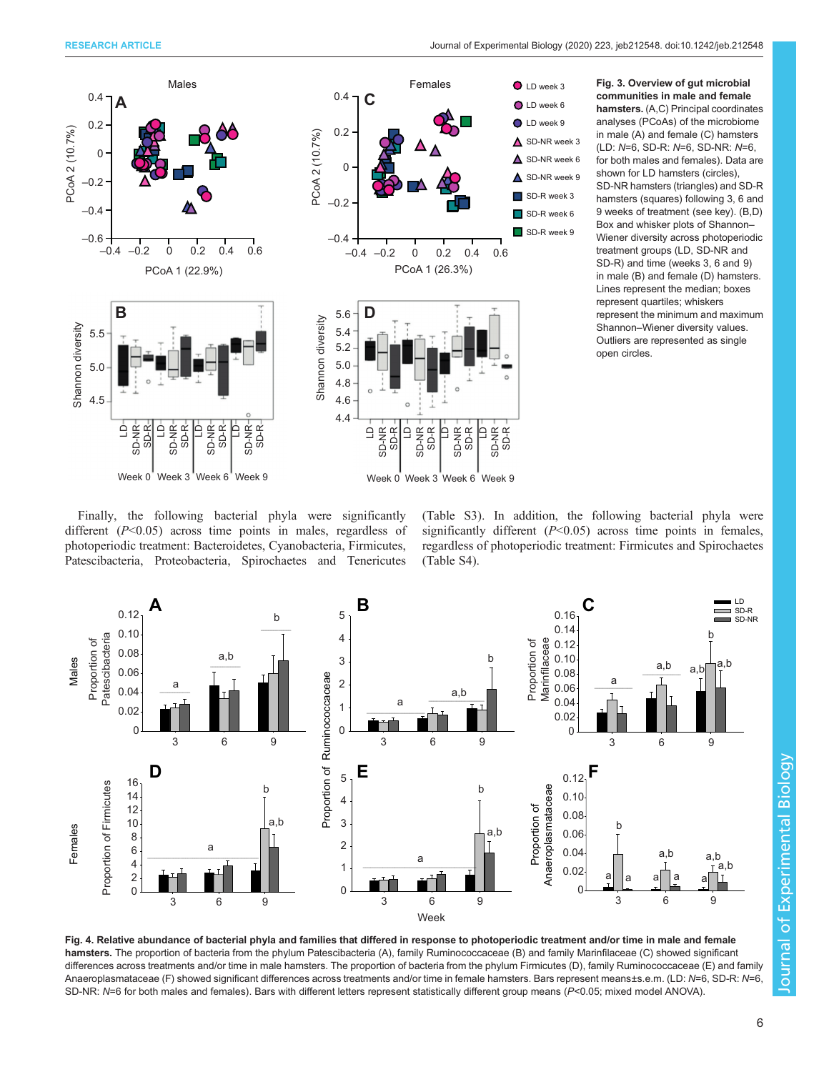<span id="page-5-0"></span>

Fig. 3. Overview of gut microbial communities in male and female hamsters. (A,C) Principal coordinates analyses (PCoAs) of the microbiome in male (A) and female (C) hamsters (LD: N=6, SD-R: N=6, SD-NR: N=6, for both males and females). Data are shown for LD hamsters (circles), SD-NR hamsters (triangles) and SD-R hamsters (squares) following 3, 6 and 9 weeks of treatment (see key). (B,D) Box and whisker plots of Shannon– Wiener diversity across photoperiodic treatment groups (LD, SD-NR and SD-R) and time (weeks 3, 6 and 9) in male (B) and female (D) hamsters. Lines represent the median; boxes represent quartiles; whiskers represent the minimum and maximum Shannon–Wiener diversity values. Outliers are represented as single open circles.

Finally, the following bacterial phyla were significantly different  $(P<0.05)$  across time points in males, regardless of photoperiodic treatment: Bacteroidetes, Cyanobacteria, Firmicutes, Patescibacteria, Proteobacteria, Spirochaetes and Tenericutes

[\(Table S3\)](http://jeb.biologists.org/lookup/doi/10.1242/jeb.212548.supplemental). In addition, the following bacterial phyla were significantly different  $(P<0.05)$  across time points in females, regardless of photoperiodic treatment: Firmicutes and Spirochaetes [\(Table S4\)](http://jeb.biologists.org/lookup/doi/10.1242/jeb.212548.supplemental).



Fig. 4. Relative abundance of bacterial phyla and families that differed in response to photoperiodic treatment and/or time in male and female hamsters. The proportion of bacteria from the phylum Patescibacteria (A), family Ruminococcaceae (B) and family Marinfilaceae (C) showed significant differences across treatments and/or time in male hamsters. The proportion of bacteria from the phylum Firmicutes (D), family Ruminococcaceae (E) and family Anaeroplasmataceae (F) showed significant differences across treatments and/or time in female hamsters. Bars represent means±s.e.m. (LD: N=6, SD-R: N=6, SD-NR: N=6 for both males and females). Bars with different letters represent statistically different group means (P<0.05; mixed model ANOVA).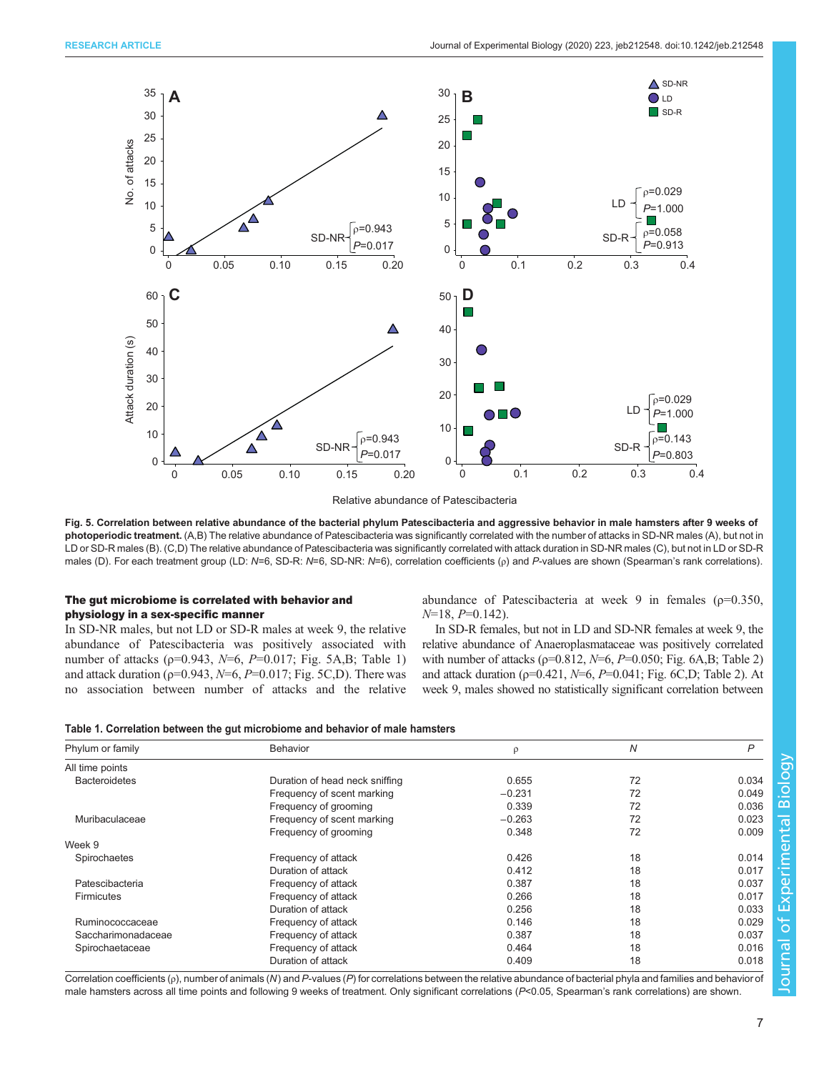

Relative abundance of Patescibacteria

Fig. 5. Correlation between relative abundance of the bacterial phylum Patescibacteria and aggressive behavior in male hamsters after 9 weeks of photoperiodic treatment. (A,B) The relative abundance of Patescibacteria was significantly correlated with the number of attacks in SD-NR males (A), but not in LD or SD-R males (B). (C,D) The relative abundance of Patescibacteria was significantly correlated with attack duration in SD-NR males (C), but not in LD or SD-R males (D). For each treatment group (LD: N=6, SD-R: N=6, SD-NR: N=6), correlation coefficients (ρ) and P-values are shown (Spearman's rank correlations).

# The gut microbiome is correlated with behavior and physiology in a sex-specific manner

In SD-NR males, but not LD or SD-R males at week 9, the relative abundance of Patescibacteria was positively associated with number of attacks ( $p=0.943$ ,  $N=6$ ,  $P=0.017$ ; Fig. 5A,B; Table 1) and attack duration ( $p=0.943$ ,  $N=6$ ,  $P=0.017$ ; Fig. 5C,D). There was no association between number of attacks and the relative abundance of Patescibacteria at week 9 in females ( $\rho$ =0.350,  $N=18$ ,  $P=0.142$ ).

In SD-R females, but not in LD and SD-NR females at week 9, the relative abundance of Anaeroplasmataceae was positively correlated with number of attacks ( $p=0.812$ ,  $N=6$ ,  $P=0.050$ ; [Fig. 6A](#page-7-0),B; [Table 2\)](#page-7-0) and attack duration ( $p=0.421$ ,  $N=6$ ,  $P=0.041$ ; [Fig. 6C](#page-7-0),D; [Table 2](#page-7-0)). At week 9, males showed no statistically significant correlation between

|  |  | Table 1. Correlation between the gut microbiome and behavior of male hamsters |
|--|--|-------------------------------------------------------------------------------|
|  |  |                                                                               |

| Phylum or family     | <b>Behavior</b>                | ρ        | Ν  | P     |
|----------------------|--------------------------------|----------|----|-------|
| All time points      |                                |          |    |       |
| <b>Bacteroidetes</b> | Duration of head neck sniffing | 0.655    | 72 | 0.034 |
|                      | Frequency of scent marking     | $-0.231$ | 72 | 0.049 |
|                      | Frequency of grooming          | 0.339    | 72 | 0.036 |
| Muribaculaceae       | Frequency of scent marking     | $-0.263$ | 72 | 0.023 |
|                      | Frequency of grooming          | 0.348    | 72 | 0.009 |
| Week 9               |                                |          |    |       |
| Spirochaetes         | Frequency of attack            | 0.426    | 18 | 0.014 |
|                      | Duration of attack             | 0.412    | 18 | 0.017 |
| Patescibacteria      | Frequency of attack            | 0.387    | 18 | 0.037 |
| <b>Firmicutes</b>    | Frequency of attack            | 0.266    | 18 | 0.017 |
|                      | Duration of attack             | 0.256    | 18 | 0.033 |
| Ruminococcaceae      | Frequency of attack            | 0.146    | 18 | 0.029 |
| Saccharimonadaceae   | Frequency of attack            | 0.387    | 18 | 0.037 |
| Spirochaetaceae      | Frequency of attack            | 0.464    | 18 | 0.016 |
|                      | Duration of attack             | 0.409    | 18 | 0.018 |

Correlation coefficients ( $\rho$ ), number of animals (N) and P-values (P) for correlations between the relative abundance of bacterial phyla and families and behavior of male hamsters across all time points and following 9 weeks of treatment. Only significant correlations  $(P< 0.05$ , Spearman's rank correlations) are shown.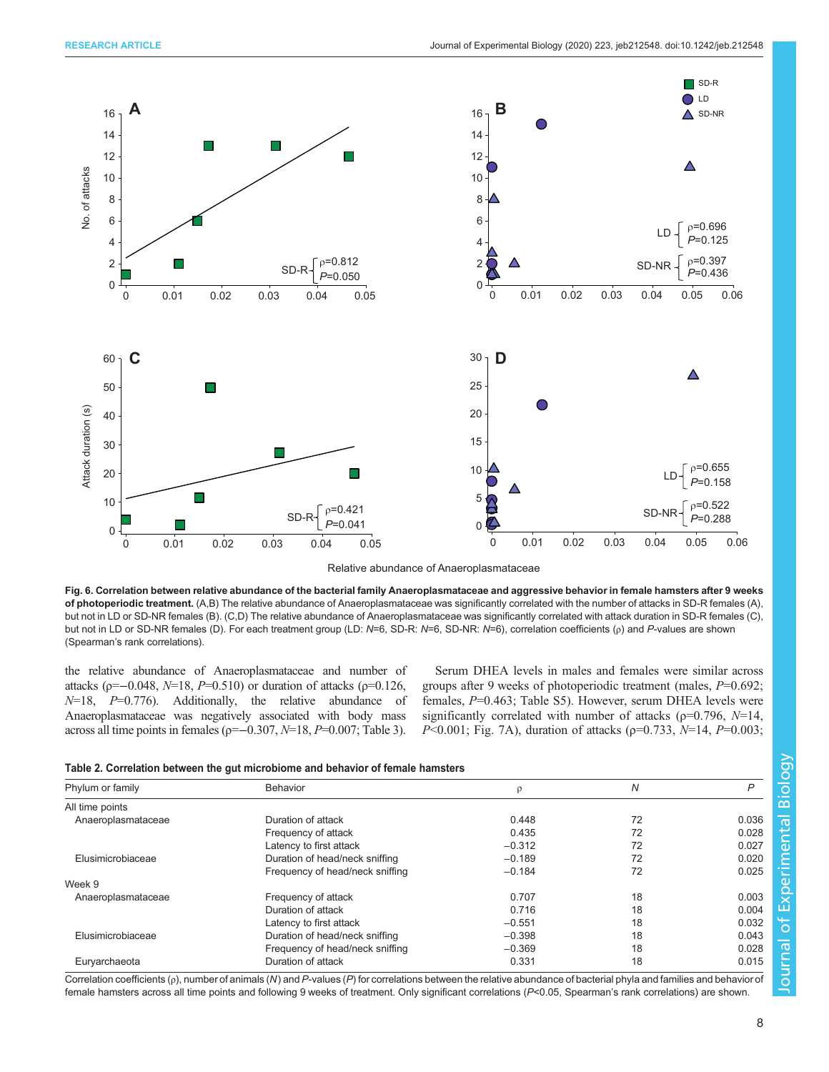<span id="page-7-0"></span>

Relative abundance of Anaeroplasmataceae

Fig. 6. Correlation between relative abundance of the bacterial family Anaeroplasmataceae and aggressive behavior in female hamsters after 9 weeks of photoperiodic treatment. (A,B) The relative abundance of Anaeroplasmataceae was significantly correlated with the number of attacks in SD-R females (A), but not in LD or SD-NR females (B). (C,D) The relative abundance of Anaeroplasmataceae was significantly correlated with attack duration in SD-R females (C), but not in LD or SD-NR females (D). For each treatment group (LD: N=6, SD-R: N=6, SD-NR: N=6), correlation coefficients (ρ) and P-values are shown (Spearman's rank correlations).

the relative abundance of Anaeroplasmataceae and number of attacks (ρ=−0.048,  $N=18$ ,  $P=0.510$ ) or duration of attacks (ρ=0.126,  $N=18$ ,  $P=0.776$ ). Additionally, the relative abundance of Anaeroplasmataceae was negatively associated with body mass across all time points in females ( $p=-0.307$ ,  $N=18$ ,  $P=0.007$ ; [Table 3\)](#page-8-0).

Serum DHEA levels in males and females were similar across groups after 9 weeks of photoperiodic treatment (males, P=0.692; females,  $P=0.463$ ; [Table S5\)](http://jeb.biologists.org/lookup/doi/10.1242/jeb.212548.supplemental). However, serum DHEA levels were significantly correlated with number of attacks ( $\rho$ =0.796,  $N$ =14,  $P<0.001$ ; [Fig. 7A](#page-8-0)), duration of attacks ( $p=0.733$ ,  $N=14$ ,  $P=0.003$ ;

| Phylum or family   | Behavior                        | ρ        | Ν  | P     |
|--------------------|---------------------------------|----------|----|-------|
| All time points    |                                 |          |    |       |
| Anaeroplasmataceae | Duration of attack              | 0.448    | 72 | 0.036 |
|                    | Frequency of attack             | 0.435    | 72 | 0.028 |
|                    | Latency to first attack         | $-0.312$ | 72 | 0.027 |
| Elusimicrobiaceae  | Duration of head/neck sniffing  | $-0.189$ | 72 | 0.020 |
|                    | Frequency of head/neck sniffing | $-0.184$ | 72 | 0.025 |
| Week 9             |                                 |          |    |       |
| Anaeroplasmataceae | Frequency of attack             | 0.707    | 18 | 0.003 |
|                    | Duration of attack              | 0.716    | 18 | 0.004 |
|                    | Latency to first attack         | $-0.551$ | 18 | 0.032 |
| Elusimicrobiaceae  | Duration of head/neck sniffing  | $-0.398$ | 18 | 0.043 |
|                    | Frequency of head/neck sniffing | $-0.369$ | 18 | 0.028 |
| Euryarchaeota      | Duration of attack              | 0.331    | 18 | 0.015 |

Correlation coefficients ( $\rho$ ), number of animals (N) and P-values (P) for correlations between the relative abundance of bacterial phyla and families and behavior of female hamsters across all time points and following 9 weeks of treatment. Only significant correlations (P<0.05, Spearman's rank correlations) are shown.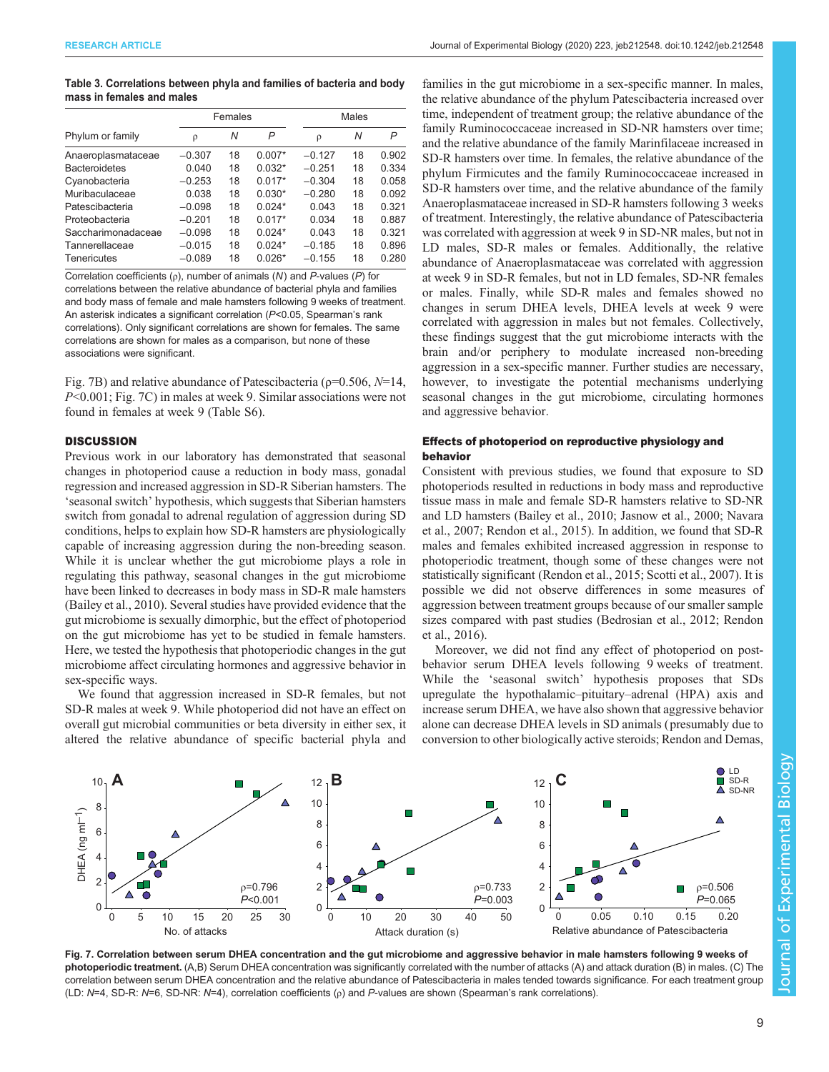#### <span id="page-8-0"></span>Table 3. Correlations between phyla and families of bacteria and body mass in females and males

|                      | Females  |    |          | <b>Males</b> |    |       |
|----------------------|----------|----|----------|--------------|----|-------|
| Phylum or family     | ρ        | Ν  | P        | ρ            | N  | P     |
| Anaeroplasmataceae   | $-0.307$ | 18 | $0.007*$ | $-0.127$     | 18 | 0.902 |
| <b>Bacteroidetes</b> | 0.040    | 18 | $0.032*$ | $-0.251$     | 18 | 0.334 |
| Cyanobacteria        | $-0.253$ | 18 | $0.017*$ | $-0.304$     | 18 | 0.058 |
| Muribaculaceae       | 0.038    | 18 | $0.030*$ | $-0.280$     | 18 | 0.092 |
| Patescibacteria      | $-0.098$ | 18 | $0.024*$ | 0.043        | 18 | 0.321 |
| Proteobacteria       | $-0.201$ | 18 | $0.017*$ | 0.034        | 18 | 0.887 |
| Saccharimonadaceae   | $-0.098$ | 18 | $0.024*$ | 0.043        | 18 | 0.321 |
| Tannerellaceae       | $-0.015$ | 18 | $0.024*$ | $-0.185$     | 18 | 0.896 |
| Tenericutes          | $-0.089$ | 18 | $0.026*$ | $-0.155$     | 18 | 0.280 |

Correlation coefficients ( $\rho$ ), number of animals (N) and P-values (P) for correlations between the relative abundance of bacterial phyla and families and body mass of female and male hamsters following 9 weeks of treatment. An asterisk indicates a significant correlation (P<0.05, Spearman's rank correlations). Only significant correlations are shown for females. The same correlations are shown for males as a comparison, but none of these associations were significant.

Fig. 7B) and relative abundance of Patescibacteria ( $\rho$ =0.506, N=14, P<0.001; Fig. 7C) in males at week 9. Similar associations were not found in females at week 9 ([Table S6](http://jeb.biologists.org/lookup/doi/10.1242/jeb.212548.supplemental)).

# **DISCUSSION**

Previous work in our laboratory has demonstrated that seasonal changes in photoperiod cause a reduction in body mass, gonadal regression and increased aggression in SD-R Siberian hamsters. The 'seasonal switch' hypothesis, which suggests that Siberian hamsters switch from gonadal to adrenal regulation of aggression during SD conditions, helps to explain how SD-R hamsters are physiologically capable of increasing aggression during the non-breeding season. While it is unclear whether the gut microbiome plays a role in regulating this pathway, seasonal changes in the gut microbiome have been linked to decreases in body mass in SD-R male hamsters [\(Bailey et al., 2010](#page-10-0)). Several studies have provided evidence that the gut microbiome is sexually dimorphic, but the effect of photoperiod on the gut microbiome has yet to be studied in female hamsters. Here, we tested the hypothesis that photoperiodic changes in the gut microbiome affect circulating hormones and aggressive behavior in sex-specific ways.

We found that aggression increased in SD-R females, but not SD-R males at week 9. While photoperiod did not have an effect on overall gut microbial communities or beta diversity in either sex, it altered the relative abundance of specific bacterial phyla and

families in the gut microbiome in a sex-specific manner. In males, the relative abundance of the phylum Patescibacteria increased over time, independent of treatment group; the relative abundance of the family Ruminococcaceae increased in SD-NR hamsters over time; and the relative abundance of the family Marinfilaceae increased in SD-R hamsters over time. In females, the relative abundance of the phylum Firmicutes and the family Ruminococcaceae increased in SD-R hamsters over time, and the relative abundance of the family Anaeroplasmataceae increased in SD-R hamsters following 3 weeks of treatment. Interestingly, the relative abundance of Patescibacteria was correlated with aggression at week 9 in SD-NR males, but not in LD males, SD-R males or females. Additionally, the relative abundance of Anaeroplasmataceae was correlated with aggression at week 9 in SD-R females, but not in LD females, SD-NR females or males. Finally, while SD-R males and females showed no changes in serum DHEA levels, DHEA levels at week 9 were correlated with aggression in males but not females. Collectively, these findings suggest that the gut microbiome interacts with the brain and/or periphery to modulate increased non-breeding aggression in a sex-specific manner. Further studies are necessary, however, to investigate the potential mechanisms underlying seasonal changes in the gut microbiome, circulating hormones and aggressive behavior.

# Effects of photoperiod on reproductive physiology and behavior

Consistent with previous studies, we found that exposure to SD photoperiods resulted in reductions in body mass and reproductive tissue mass in male and female SD-R hamsters relative to SD-NR and LD hamsters [\(Bailey et al., 2010](#page-10-0); [Jasnow et al., 2000;](#page-10-0) [Navara](#page-11-0) [et al., 2007](#page-11-0); [Rendon et al., 2015\)](#page-11-0). In addition, we found that SD-R males and females exhibited increased aggression in response to photoperiodic treatment, though some of these changes were not statistically significant ([Rendon et al., 2015](#page-11-0); [Scotti et al., 2007\)](#page-11-0). It is possible we did not observe differences in some measures of aggression between treatment groups because of our smaller sample sizes compared with past studies ([Bedrosian et al., 2012;](#page-10-0) [Rendon](#page-11-0) [et al., 2016\)](#page-11-0).

Moreover, we did not find any effect of photoperiod on postbehavior serum DHEA levels following 9 weeks of treatment. While the 'seasonal switch' hypothesis proposes that SDs upregulate the hypothalamic–pituitary–adrenal (HPA) axis and increase serum DHEA, we have also shown that aggressive behavior alone can decrease DHEA levels in SD animals ( presumably due to conversion to other biologically active steroids; [Rendon and Demas,](#page-11-0)



Fig. 7. Correlation between serum DHEA concentration and the gut microbiome and aggressive behavior in male hamsters following 9 weeks of photoperiodic treatment. (A,B) Serum DHEA concentration was significantly correlated with the number of attacks (A) and attack duration (B) in males. (C) The correlation between serum DHEA concentration and the relative abundance of Patescibacteria in males tended towards significance. For each treatment group (LD: N=4, SD-R: N=6, SD-NR: N=4), correlation coefficients (ρ) and P-values are shown (Spearman's rank correlations).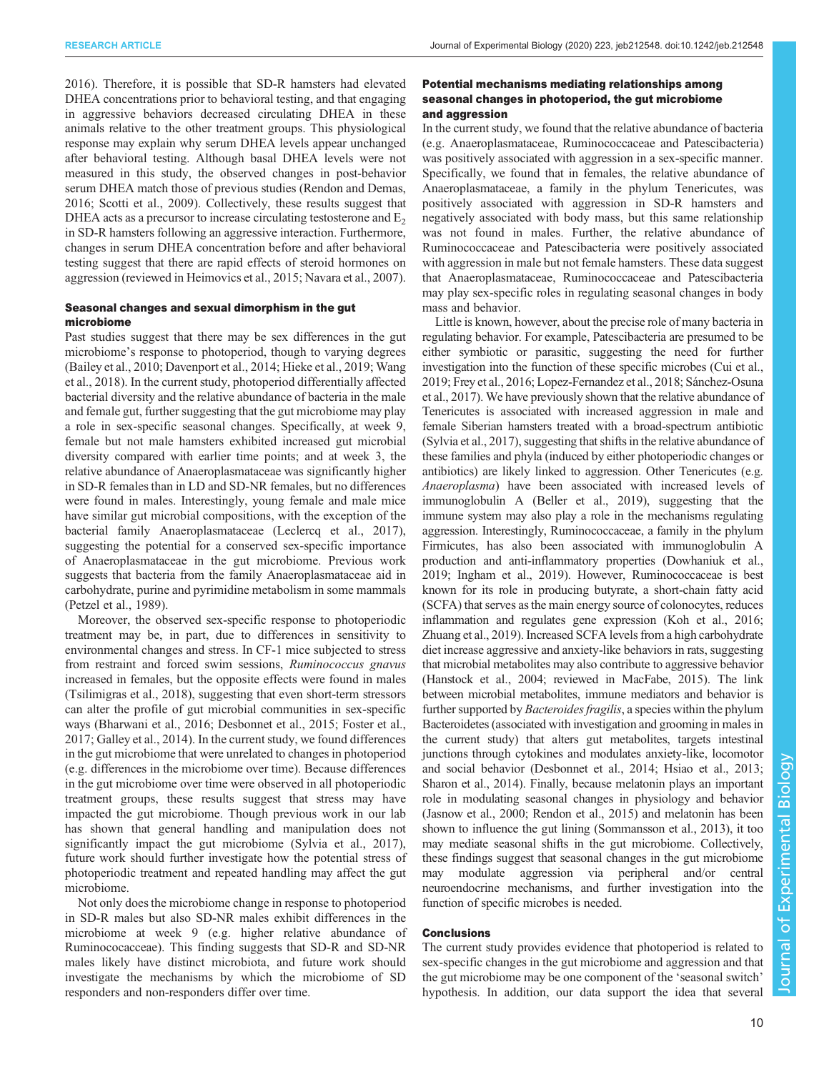[2016](#page-11-0)). Therefore, it is possible that SD-R hamsters had elevated DHEA concentrations prior to behavioral testing, and that engaging in aggressive behaviors decreased circulating DHEA in these animals relative to the other treatment groups. This physiological response may explain why serum DHEA levels appear unchanged after behavioral testing. Although basal DHEA levels were not measured in this study, the observed changes in post-behavior serum DHEA match those of previous studies [\(Rendon and Demas,](#page-11-0) [2016](#page-11-0); [Scotti et al., 2009](#page-11-0)). Collectively, these results suggest that DHEA acts as a precursor to increase circulating testosterone and  $E<sub>2</sub>$ in SD-R hamsters following an aggressive interaction. Furthermore, changes in serum DHEA concentration before and after behavioral testing suggest that there are rapid effects of steroid hormones on aggression (reviewed in [Heimovics et al., 2015;](#page-10-0) [Navara et al., 2007\)](#page-11-0).

## Seasonal changes and sexual dimorphism in the gut microbiome

Past studies suggest that there may be sex differences in the gut microbiome's response to photoperiod, though to varying degrees [\(Bailey et al., 2010; Davenport et al., 2014](#page-10-0); [Hieke et al., 2019](#page-10-0); [Wang](#page-11-0) [et al., 2018](#page-11-0)). In the current study, photoperiod differentially affected bacterial diversity and the relative abundance of bacteria in the male and female gut, further suggesting that the gut microbiome may play a role in sex-specific seasonal changes. Specifically, at week 9, female but not male hamsters exhibited increased gut microbial diversity compared with earlier time points; and at week 3, the relative abundance of Anaeroplasmataceae was significantly higher in SD-R females than in LD and SD-NR females, but no differences were found in males. Interestingly, young female and male mice have similar gut microbial compositions, with the exception of the bacterial family Anaeroplasmataceae ([Leclercq et al., 2017\)](#page-11-0), suggesting the potential for a conserved sex-specific importance of Anaeroplasmataceae in the gut microbiome. Previous work suggests that bacteria from the family Anaeroplasmataceae aid in carbohydrate, purine and pyrimidine metabolism in some mammals [\(Petzel et al., 1989](#page-11-0)).

Moreover, the observed sex-specific response to photoperiodic treatment may be, in part, due to differences in sensitivity to environmental changes and stress. In CF-1 mice subjected to stress from restraint and forced swim sessions, Ruminococcus gnavus increased in females, but the opposite effects were found in males [\(Tsilimigras et al., 2018\)](#page-11-0), suggesting that even short-term stressors can alter the profile of gut microbial communities in sex-specific ways ([Bharwani et al., 2016](#page-10-0); [Desbonnet et al., 2015](#page-10-0); [Foster et al.,](#page-10-0) [2017](#page-10-0); [Galley et al., 2014\)](#page-10-0). In the current study, we found differences in the gut microbiome that were unrelated to changes in photoperiod (e.g. differences in the microbiome over time). Because differences in the gut microbiome over time were observed in all photoperiodic treatment groups, these results suggest that stress may have impacted the gut microbiome. Though previous work in our lab has shown that general handling and manipulation does not significantly impact the gut microbiome ([Sylvia et al., 2017\)](#page-11-0), future work should further investigate how the potential stress of photoperiodic treatment and repeated handling may affect the gut microbiome.

Not only does the microbiome change in response to photoperiod in SD-R males but also SD-NR males exhibit differences in the microbiome at week 9 (e.g. higher relative abundance of Ruminococacceae). This finding suggests that SD-R and SD-NR males likely have distinct microbiota, and future work should investigate the mechanisms by which the microbiome of SD responders and non-responders differ over time.

# Potential mechanisms mediating relationships among seasonal changes in photoperiod, the gut microbiome and aggression

In the current study, we found that the relative abundance of bacteria (e.g. Anaeroplasmataceae, Ruminococcaceae and Patescibacteria) was positively associated with aggression in a sex-specific manner. Specifically, we found that in females, the relative abundance of Anaeroplasmataceae, a family in the phylum Tenericutes, was positively associated with aggression in SD-R hamsters and negatively associated with body mass, but this same relationship was not found in males. Further, the relative abundance of Ruminococcaceae and Patescibacteria were positively associated with aggression in male but not female hamsters. These data suggest that Anaeroplasmataceae, Ruminococcaceae and Patescibacteria may play sex-specific roles in regulating seasonal changes in body mass and behavior.

Little is known, however, about the precise role of many bacteria in regulating behavior. For example, Patescibacteria are presumed to be either symbiotic or parasitic, suggesting the need for further investigation into the function of these specific microbes ([Cui et al.,](#page-10-0) [2019; Frey et al., 2016;](#page-10-0) [Lopez-Fernandez et al., 2018](#page-11-0); [Sánchez-Osuna](#page-11-0) [et al., 2017\)](#page-11-0). We have previously shown that the relative abundance of Tenericutes is associated with increased aggression in male and female Siberian hamsters treated with a broad-spectrum antibiotic [\(Sylvia et al., 2017](#page-11-0)), suggesting that shifts in the relative abundance of these families and phyla (induced by either photoperiodic changes or antibiotics) are likely linked to aggression. Other Tenericutes (e.g. Anaeroplasma) have been associated with increased levels of immunoglobulin A ([Beller et al., 2019\)](#page-10-0), suggesting that the immune system may also play a role in the mechanisms regulating aggression. Interestingly, Ruminococcaceae, a family in the phylum Firmicutes, has also been associated with immunoglobulin A production and anti-inflammatory properties [\(Dowhaniuk et al.,](#page-10-0) [2019; Ingham et al., 2019\)](#page-10-0). However, Ruminococcaceae is best known for its role in producing butyrate, a short-chain fatty acid (SCFA) that serves as the main energy source of colonocytes, reduces inflammation and regulates gene expression [\(Koh et al., 2016](#page-11-0); [Zhuang et al., 2019\)](#page-11-0). Increased SCFA levels from a high carbohydrate diet increase aggressive and anxiety-like behaviors in rats, suggesting that microbial metabolites may also contribute to aggressive behavior [\(Hanstock et al., 2004](#page-10-0); reviewed in [MacFabe, 2015\)](#page-11-0). The link between microbial metabolites, immune mediators and behavior is further supported by *Bacteroides fragilis*, a species within the phylum Bacteroidetes (associated with investigation and grooming in males in the current study) that alters gut metabolites, targets intestinal junctions through cytokines and modulates anxiety-like, locomotor and social behavior ([Desbonnet et al., 2014; Hsiao et al., 2013](#page-10-0); [Sharon et al., 2014](#page-11-0)). Finally, because melatonin plays an important role in modulating seasonal changes in physiology and behavior [\(Jasnow et al., 2000;](#page-10-0) [Rendon et al., 2015](#page-11-0)) and melatonin has been shown to influence the gut lining ([Sommansson et al., 2013](#page-11-0)), it too may mediate seasonal shifts in the gut microbiome. Collectively, these findings suggest that seasonal changes in the gut microbiome may modulate aggression via peripheral and/or central neuroendocrine mechanisms, and further investigation into the function of specific microbes is needed.

# **Conclusions**

The current study provides evidence that photoperiod is related to sex-specific changes in the gut microbiome and aggression and that the gut microbiome may be one component of the 'seasonal switch' hypothesis. In addition, our data support the idea that several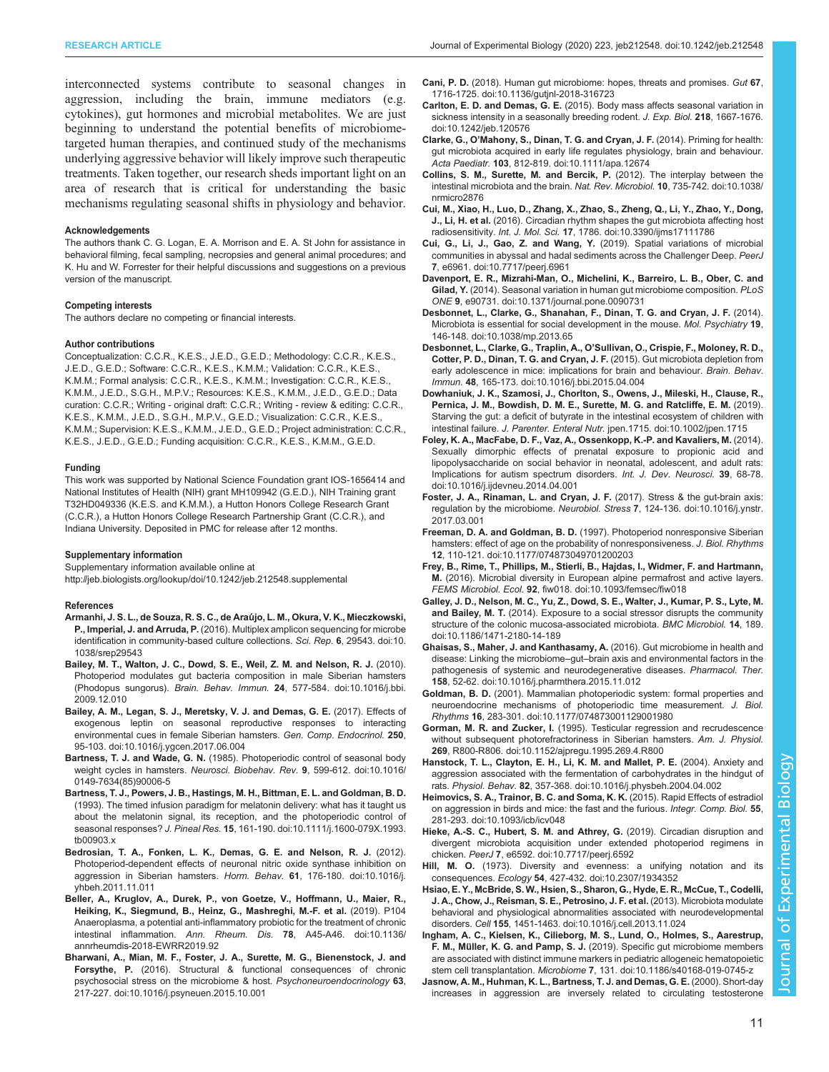<span id="page-10-0"></span>interconnected systems contribute to seasonal changes in aggression, including the brain, immune mediators (e.g. cytokines), gut hormones and microbial metabolites. We are just beginning to understand the potential benefits of microbiometargeted human therapies, and continued study of the mechanisms underlying aggressive behavior will likely improve such therapeutic treatments. Taken together, our research sheds important light on an area of research that is critical for understanding the basic mechanisms regulating seasonal shifts in physiology and behavior.

#### Acknowledgements

The authors thank C. G. Logan, E. A. Morrison and E. A. St John for assistance in behavioral filming, fecal sampling, necropsies and general animal procedures; and K. Hu and W. Forrester for their helpful discussions and suggestions on a previous version of the manuscript.

## Competing interests

The authors declare no competing or financial interests.

#### Author contributions

Conceptualization: C.C.R., K.E.S., J.E.D., G.E.D.; Methodology: C.C.R., K.E.S., J.E.D., G.E.D.; Software: C.C.R., K.E.S., K.M.M.; Validation: C.C.R., K.E.S., K.M.M.; Formal analysis: C.C.R., K.E.S., K.M.M.; Investigation: C.C.R., K.E.S., K.M.M., J.E.D., S.G.H., M.P.V.; Resources: K.E.S., K.M.M., J.E.D., G.E.D.; Data curation: C.C.R.; Writing - original draft: C.C.R.; Writing - review & editing: C.C.R., K.E.S., K.M.M., J.E.D., S.G.H., M.P.V., G.E.D.; Visualization: C.C.R., K.E.S., K.M.M.; Supervision: K.E.S., K.M.M., J.E.D., G.E.D.; Project administration: C.C.R., K.E.S., J.E.D., G.E.D.; Funding acquisition: C.C.R., K.E.S., K.M.M., G.E.D.

#### Funding

This work was supported by National Science Foundation grant IOS-1656414 and National Institutes of Health (NIH) grant MH109942 (G.E.D.), NIH Training grant T32HD049336 (K.E.S. and K.M.M.), a Hutton Honors College Research Grant (C.C.R.), a Hutton Honors College Research Partnership Grant (C.C.R.), and Indiana University. Deposited in PMC for release after 12 months.

#### Supplementary information

Supplementary information available online at <http://jeb.biologists.org/lookup/doi/10.1242/jeb.212548.supplemental>

#### References

- [Armanhi, J. S. L., de Souza, R. S. C., de Arau](https://doi.org/10.1038/srep29543)́jo, L. M., Okura, V. K., Mieczkowski, P., Imperial, J. and Arruda, P. [\(2016\). Multiplex amplicon sequencing for microbe](https://doi.org/10.1038/srep29543) [identification in community-based culture collections.](https://doi.org/10.1038/srep29543) Sci. Rep. 6, 29543. doi:10. [1038/srep29543](https://doi.org/10.1038/srep29543)
- [Bailey, M. T., Walton, J. C., Dowd, S. E., Weil, Z. M. and Nelson, R. J.](https://doi.org/10.1016/j.bbi.2009.12.010) (2010). [Photoperiod modulates gut bacteria composition in male Siberian hamsters](https://doi.org/10.1016/j.bbi.2009.12.010) (Phodopus sungorus). Brain. Behav. Immun. 24[, 577-584. doi:10.1016/j.bbi.](https://doi.org/10.1016/j.bbi.2009.12.010) [2009.12.010](https://doi.org/10.1016/j.bbi.2009.12.010)
- [Bailey, A. M., Legan, S. J., Meretsky, V. J. and Demas, G. E.](https://doi.org/10.1016/j.ygcen.2017.06.004) (2017). Effects of [exogenous leptin on seasonal reproductive responses to interacting](https://doi.org/10.1016/j.ygcen.2017.06.004) [environmental cues in female Siberian hamsters.](https://doi.org/10.1016/j.ygcen.2017.06.004) Gen. Comp. Endocrinol. 250, [95-103. doi:10.1016/j.ygcen.2017.06.004](https://doi.org/10.1016/j.ygcen.2017.06.004)
- Bartness, T. J. and Wade, G. N. [\(1985\). Photoperiodic control of seasonal body](https://doi.org/10.1016/0149-7634(85)90006-5) [weight cycles in hamsters.](https://doi.org/10.1016/0149-7634(85)90006-5) Neurosci. Biobehav. Rev. 9, 599-612. doi:10.1016/ [0149-7634\(85\)90006-5](https://doi.org/10.1016/0149-7634(85)90006-5)
- [Bartness, T. J., Powers, J. B., Hastings, M. H., Bittman, E. L. and Goldman, B. D.](https://doi.org/10.1111/j.1600-079X.1993.tb00903.x) [\(1993\). The timed infusion paradigm for melatonin delivery: what has it taught us](https://doi.org/10.1111/j.1600-079X.1993.tb00903.x) [about the melatonin signal, its reception, and the photoperiodic control of](https://doi.org/10.1111/j.1600-079X.1993.tb00903.x) seasonal responses? J. Pineal Res. 15[, 161-190. doi:10.1111/j.1600-079X.1993.](https://doi.org/10.1111/j.1600-079X.1993.tb00903.x) [tb00903.x](https://doi.org/10.1111/j.1600-079X.1993.tb00903.x)
- [Bedrosian, T. A., Fonken, L. K., Demas, G. E. and Nelson, R. J.](https://doi.org/10.1016/j.yhbeh.2011.11.011) (2012). [Photoperiod-dependent effects of neuronal nitric oxide synthase inhibition on](https://doi.org/10.1016/j.yhbeh.2011.11.011) [aggression in Siberian hamsters.](https://doi.org/10.1016/j.yhbeh.2011.11.011) Horm. Behav. 61, 176-180. doi:10.1016/j. [yhbeh.2011.11.011](https://doi.org/10.1016/j.yhbeh.2011.11.011)
- [Beller, A., Kruglov, A., Durek, P., von Goetze, V., Hoffmann, U., Maier, R.,](https://doi.org/10.1136/annrheumdis-2018-EWRR2019.92) [Heiking, K., Siegmund, B., Heinz, G., Mashreghi, M.-F. et al.](https://doi.org/10.1136/annrheumdis-2018-EWRR2019.92) (2019). P104 [Anaeroplasma, a potential anti-inflammatory probiotic for the treatment of chronic](https://doi.org/10.1136/annrheumdis-2018-EWRR2019.92) intestinal inflammation. Ann. Rheum. Dis. 78[, A45-A46. doi:10.1136/](https://doi.org/10.1136/annrheumdis-2018-EWRR2019.92) [annrheumdis-2018-EWRR2019.92](https://doi.org/10.1136/annrheumdis-2018-EWRR2019.92)
- [Bharwani, A., Mian, M. F., Foster, J. A., Surette, M. G., Bienenstock, J. and](https://doi.org/10.1016/j.psyneuen.2015.10.001) Forsythe, P. [\(2016\). Structural & functional consequences of chronic](https://doi.org/10.1016/j.psyneuen.2015.10.001) [psychosocial stress on the microbiome & host.](https://doi.org/10.1016/j.psyneuen.2015.10.001) Psychoneuroendocrinology 63, [217-227. doi:10.1016/j.psyneuen.2015.10.001](https://doi.org/10.1016/j.psyneuen.2015.10.001)
- Cani, P. D. [\(2018\). Human gut microbiome: hopes, threats and promises.](https://doi.org/10.1136/gutjnl-2018-316723) Gut 67, [1716-1725. doi:10.1136/gutjnl-2018-316723](https://doi.org/10.1136/gutjnl-2018-316723)
- Carlton, E. D. and Demas, G. E. [\(2015\). Body mass affects seasonal variation in](https://doi.org/10.1242/jeb.120576) [sickness intensity in a seasonally breeding rodent.](https://doi.org/10.1242/jeb.120576) J. Exp. Biol. 218, 1667-1676. [doi:10.1242/jeb.120576](https://doi.org/10.1242/jeb.120576)
- Clarke, G., O'[Mahony, S., Dinan, T. G. and Cryan, J. F.](https://doi.org/10.1111/apa.12674) (2014). Priming for health: [gut microbiota acquired in early life regulates physiology, brain and behaviour.](https://doi.org/10.1111/apa.12674) Acta Paediatr. 103[, 812-819. doi:10.1111/apa.12674](https://doi.org/10.1111/apa.12674)
- [Collins, S. M., Surette, M. and Bercik, P.](https://doi.org/10.1038/nrmicro2876) (2012). The interplay between the [intestinal microbiota and the brain.](https://doi.org/10.1038/nrmicro2876) Nat. Rev. Microbiol. 10, 735-742. doi:10.1038/ [nrmicro2876](https://doi.org/10.1038/nrmicro2876)
- [Cui, M., Xiao, H., Luo, D., Zhang, X., Zhao, S., Zheng, Q., Li, Y., Zhao, Y., Dong,](https://doi.org/10.3390/ijms17111786) J., Li, H. et al. [\(2016\). Circadian rhythm shapes the gut microbiota affecting host](https://doi.org/10.3390/ijms17111786) radiosensitivity. Int. J. Mol. Sci. 17[, 1786. doi:10.3390/ijms17111786](https://doi.org/10.3390/ijms17111786)
- [Cui, G., Li, J., Gao, Z. and Wang, Y.](https://doi.org/10.7717/peerj.6961) (2019). Spatial variations of microbial [communities in abyssal and hadal sediments across the Challenger Deep.](https://doi.org/10.7717/peerj.6961) PeerJ 7[, e6961. doi:10.7717/peerj.6961](https://doi.org/10.7717/peerj.6961)
- [Davenport, E. R., Mizrahi-Man, O., Michelini, K., Barreiro, L. B., Ober, C. and](https://doi.org/10.1371/journal.pone.0090731) Gilad, Y. [\(2014\). Seasonal variation in human gut microbiome composition.](https://doi.org/10.1371/journal.pone.0090731) PLoS ONE 9[, e90731. doi:10.1371/journal.pone.0090731](https://doi.org/10.1371/journal.pone.0090731)
- [Desbonnet, L., Clarke, G., Shanahan, F., Dinan, T. G. and Cryan, J. F.](https://doi.org/10.1038/mp.2013.65) (2014). [Microbiota is essential for social development in the mouse.](https://doi.org/10.1038/mp.2013.65) Mol. Psychiatry 19, [146-148. doi:10.1038/mp.2013.65](https://doi.org/10.1038/mp.2013.65)
- [Desbonnet, L., Clarke, G., Traplin, A., O](https://doi.org/10.1016/j.bbi.2015.04.004)'Sullivan, O., Crispie, F., Moloney, R. D., [Cotter, P. D., Dinan, T. G. and Cryan, J. F.](https://doi.org/10.1016/j.bbi.2015.04.004) (2015). Gut microbiota depletion from [early adolescence in mice: implications for brain and behaviour.](https://doi.org/10.1016/j.bbi.2015.04.004) Brain. Behav. Immun. 48[, 165-173. doi:10.1016/j.bbi.2015.04.004](https://doi.org/10.1016/j.bbi.2015.04.004)
- [Dowhaniuk, J. K., Szamosi, J., Chorlton, S., Owens, J., Mileski, H., Clause, R.,](https://doi.org/10.1002/jpen.1715) [Pernica, J. M., Bowdish, D. M. E., Surette, M. G. and Ratcliffe, E. M.](https://doi.org/10.1002/jpen.1715) (2019). [Starving the gut: a deficit of butyrate in the intestinal ecosystem of children with](https://doi.org/10.1002/jpen.1715) intestinal failure. J. Parenter. Enteral Nutr. [jpen.1715. doi:10.1002/jpen.1715](https://doi.org/10.1002/jpen.1715)
- [Foley, K. A., MacFabe, D. F., Vaz, A., Ossenkopp, K.-P. and Kavaliers, M.](https://doi.org/10.1016/j.ijdevneu.2014.04.001) (2014). [Sexually dimorphic effects of prenatal exposure to propionic acid and](https://doi.org/10.1016/j.ijdevneu.2014.04.001) [lipopolysaccharide on social behavior in neonatal, adolescent, and adult rats:](https://doi.org/10.1016/j.ijdevneu.2014.04.001) [Implications for autism spectrum disorders.](https://doi.org/10.1016/j.ijdevneu.2014.04.001) Int. J. Dev. Neurosci. 39, 68-78. [doi:10.1016/j.ijdevneu.2014.04.001](https://doi.org/10.1016/j.ijdevneu.2014.04.001)
- [Foster, J. A., Rinaman, L. and Cryan, J. F.](https://doi.org/10.1016/j.ynstr.2017.03.001) (2017). Stress & the gut-brain axis: regulation by the microbiome. Neurobiol. Stress 7[, 124-136. doi:10.1016/j.ynstr.](https://doi.org/10.1016/j.ynstr.2017.03.001) [2017.03.001](https://doi.org/10.1016/j.ynstr.2017.03.001)
- Freeman, D. A. and Goldman, B. D. [\(1997\). Photoperiod nonresponsive Siberian](https://doi.org/10.1177/074873049701200203) [hamsters: effect of age on the probability of nonresponsiveness.](https://doi.org/10.1177/074873049701200203) J. Biol. Rhythms 12[, 110-121. doi:10.1177/074873049701200203](https://doi.org/10.1177/074873049701200203)
- [Frey, B., Rime, T., Phillips, M., Stierli, B., Hajdas, I., Widmer, F. and Hartmann,](https://doi.org/10.1093/femsec/fiw018) M. [\(2016\). Microbial diversity in European alpine permafrost and active layers.](https://doi.org/10.1093/femsec/fiw018) FEMS Microbiol. Ecol. 92[, fiw018. doi:10.1093/femsec/fiw018](https://doi.org/10.1093/femsec/fiw018)
- [Galley, J. D., Nelson, M. C., Yu, Z., Dowd, S. E., Walter, J., Kumar, P. S., Lyte, M.](https://doi.org/10.1186/1471-2180-14-189) and Bailey, M. T. [\(2014\). Exposure to a social stressor disrupts the community](https://doi.org/10.1186/1471-2180-14-189) [structure of the colonic mucosa-associated microbiota.](https://doi.org/10.1186/1471-2180-14-189) BMC Microbiol. 14, 189. [doi:10.1186/1471-2180-14-189](https://doi.org/10.1186/1471-2180-14-189)
- [Ghaisas, S., Maher, J. and Kanthasamy, A.](https://doi.org/10.1016/j.pharmthera.2015.11.012) (2016). Gut microbiome in health and disease: Linking the microbiome–gut–[brain axis and environmental factors in the](https://doi.org/10.1016/j.pharmthera.2015.11.012) [pathogenesis of systemic and neurodegenerative diseases.](https://doi.org/10.1016/j.pharmthera.2015.11.012) Pharmacol. Ther. 158[, 52-62. doi:10.1016/j.pharmthera.2015.11.012](https://doi.org/10.1016/j.pharmthera.2015.11.012)
- Goldman, B. D. [\(2001\). Mammalian photoperiodic system: formal properties and](https://doi.org/10.1177/074873001129001980) [neuroendocrine mechanisms of photoperiodic time measurement.](https://doi.org/10.1177/074873001129001980) J. Biol. Rhythms 16[, 283-301. doi:10.1177/074873001129001980](https://doi.org/10.1177/074873001129001980)
- Gorman, M. R. and Zucker, I. [\(1995\). Testicular regression and recrudescence](https://doi.org/10.1152/ajpregu.1995.269.4.R800) [without subsequent photorefractoriness in Siberian hamsters.](https://doi.org/10.1152/ajpregu.1995.269.4.R800) Am. J. Physiol. 269[, R800-R806. doi:10.1152/ajpregu.1995.269.4.R800](https://doi.org/10.1152/ajpregu.1995.269.4.R800)
- [Hanstock, T. L., Clayton, E. H., Li, K. M. and Mallet, P. E.](https://doi.org/10.1016/j.physbeh.2004.04.002) (2004). Anxiety and [aggression associated with the fermentation of carbohydrates in the hindgut of](https://doi.org/10.1016/j.physbeh.2004.04.002) rats. Physiol. Behav. 82[, 357-368. doi:10.1016/j.physbeh.2004.04.002](https://doi.org/10.1016/j.physbeh.2004.04.002)
- [Heimovics, S. A., Trainor, B. C. and Soma, K. K.](https://doi.org/10.1093/icb/icv048) (2015). Rapid Effects of estradiol [on aggression in birds and mice: the fast and the furious.](https://doi.org/10.1093/icb/icv048) Integr. Comp. Biol. 55, [281-293. doi:10.1093/icb/icv048](https://doi.org/10.1093/icb/icv048)
- [Hieke, A.-S. C., Hubert, S. M. and Athrey, G.](https://doi.org/10.7717/peerj.6592) (2019). Circadian disruption and [divergent microbiota acquisition under extended photoperiod regimens in](https://doi.org/10.7717/peerj.6592) chicken. PeerJ 7[, e6592. doi:10.7717/peerj.6592](https://doi.org/10.7717/peerj.6592)
- Hill, M. O. [\(1973\). Diversity and evenness: a unifying notation and its](https://doi.org/10.2307/1934352) consequences. Ecology 54[, 427-432. doi:10.2307/1934352](https://doi.org/10.2307/1934352)
- [Hsiao, E. Y., McBride, S. W., Hsien, S., Sharon, G., Hyde, E. R., McCue, T., Codelli,](https://doi.org/10.1016/j.cell.2013.11.024) [J. A., Chow, J., Reisman, S. E., Petrosino, J. F. et al.](https://doi.org/10.1016/j.cell.2013.11.024) (2013). Microbiota modulate [behavioral and physiological abnormalities associated with neurodevelopmental](https://doi.org/10.1016/j.cell.2013.11.024) disorders. Cell 155[, 1451-1463. doi:10.1016/j.cell.2013.11.024](https://doi.org/10.1016/j.cell.2013.11.024)
- [Ingham, A. C., Kielsen, K., Cilieborg, M. S., Lund, O., Holmes, S., Aarestrup,](https://doi.org/10.1186/s40168-019-0745-z) F. M., Müller, K. G. and Pamp, S. J. [\(2019\). Specific gut microbiome members](https://doi.org/10.1186/s40168-019-0745-z) [are associated with distinct immune markers in pediatric allogeneic hematopoietic](https://doi.org/10.1186/s40168-019-0745-z) stem cell transplantation. Microbiome 7[, 131. doi:10.1186/s40168-019-0745-z](https://doi.org/10.1186/s40168-019-0745-z)
- [Jasnow, A. M., Huhman, K. L., Bartness, T. J. and Demas, G. E.](https://doi.org/10.1006/hbeh.2000.1604) (2000). Short-day [increases in aggression are inversely related to circulating testosterone](https://doi.org/10.1006/hbeh.2000.1604)